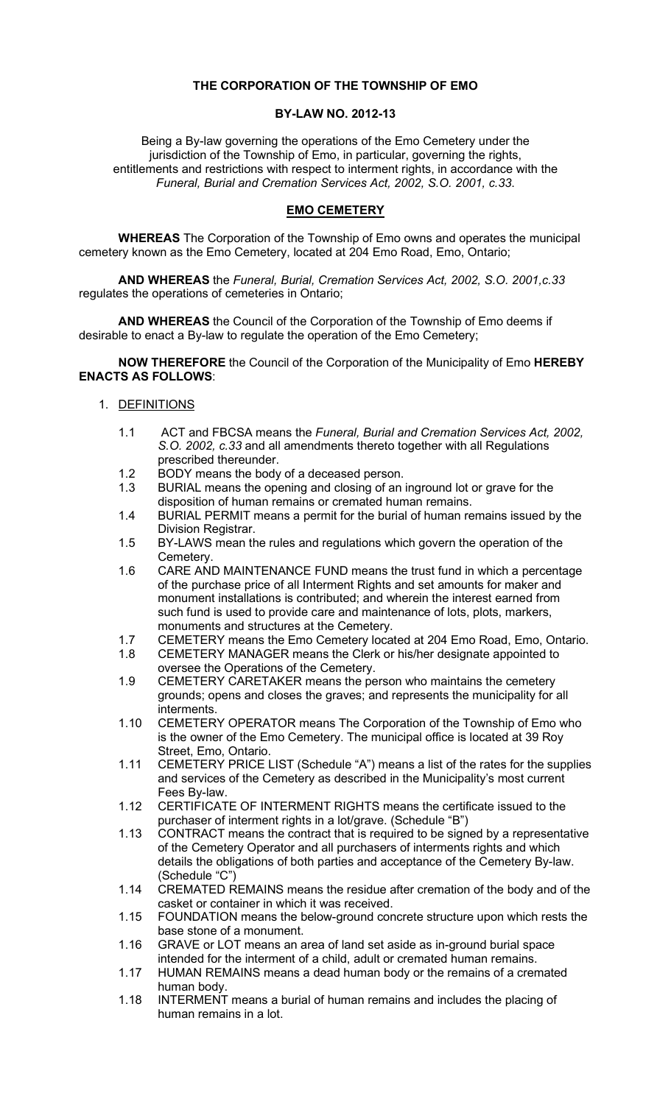# THE CORPORATION OF THE TOWNSHIP OF EMO

### BY-LAW NO. 2012-13

Being a By-law governing the operations of the Emo Cemetery under the jurisdiction of the Township of Emo, in particular, governing the rights, entitlements and restrictions with respect to interment rights, in accordance with the Funeral, Burial and Cremation Services Act, 2002, S.O. 2001, c.33.

# EMO CEMETERY

WHEREAS The Corporation of the Township of Emo owns and operates the municipal cemetery known as the Emo Cemetery, located at 204 Emo Road, Emo, Ontario;

AND WHEREAS the Funeral, Burial, Cremation Services Act, 2002, S.O. 2001,c.33 regulates the operations of cemeteries in Ontario;

AND WHEREAS the Council of the Corporation of the Township of Emo deems if desirable to enact a By-law to regulate the operation of the Emo Cemetery;

NOW THEREFORE the Council of the Corporation of the Municipality of Emo HEREBY ENACTS AS FOLLOWS:

- 1. DEFINITIONS
	- 1.1 ACT and FBCSA means the Funeral, Burial and Cremation Services Act, 2002, S.O. 2002, c.33 and all amendments thereto together with all Regulations prescribed thereunder.
	- 1.2 BODY means the body of a deceased person.
	- 1.3 BURIAL means the opening and closing of an inground lot or grave for the disposition of human remains or cremated human remains.
	- 1.4 BURIAL PERMIT means a permit for the burial of human remains issued by the Division Registrar.
	- 1.5 BY-LAWS mean the rules and regulations which govern the operation of the Cemetery.
	- 1.6 CARE AND MAINTENANCE FUND means the trust fund in which a percentage of the purchase price of all Interment Rights and set amounts for maker and monument installations is contributed; and wherein the interest earned from such fund is used to provide care and maintenance of lots, plots, markers, monuments and structures at the Cemetery.
	- 1.7 CEMETERY means the Emo Cemetery located at 204 Emo Road, Emo, Ontario.
	- 1.8 CEMETERY MANAGER means the Clerk or his/her designate appointed to oversee the Operations of the Cemetery.
	- 1.9 CEMETERY CARETAKER means the person who maintains the cemetery grounds; opens and closes the graves; and represents the municipality for all interments.
	- 1.10 CEMETERY OPERATOR means The Corporation of the Township of Emo who is the owner of the Emo Cemetery. The municipal office is located at 39 Roy Street, Emo, Ontario.
	- 1.11 CEMETERY PRICE LIST (Schedule "A") means a list of the rates for the supplies and services of the Cemetery as described in the Municipality's most current Fees By-law.
	- 1.12 CERTIFICATE OF INTERMENT RIGHTS means the certificate issued to the purchaser of interment rights in a lot/grave. (Schedule "B")
	- 1.13 CONTRACT means the contract that is required to be signed by a representative of the Cemetery Operator and all purchasers of interments rights and which details the obligations of both parties and acceptance of the Cemetery By-law. (Schedule "C")
	- 1.14 CREMATED REMAINS means the residue after cremation of the body and of the casket or container in which it was received.
	- 1.15 FOUNDATION means the below-ground concrete structure upon which rests the base stone of a monument.
	- 1.16 GRAVE or LOT means an area of land set aside as in-ground burial space intended for the interment of a child, adult or cremated human remains.
	- 1.17 HUMAN REMAINS means a dead human body or the remains of a cremated human body.
	- 1.18 INTERMENT means a burial of human remains and includes the placing of human remains in a lot.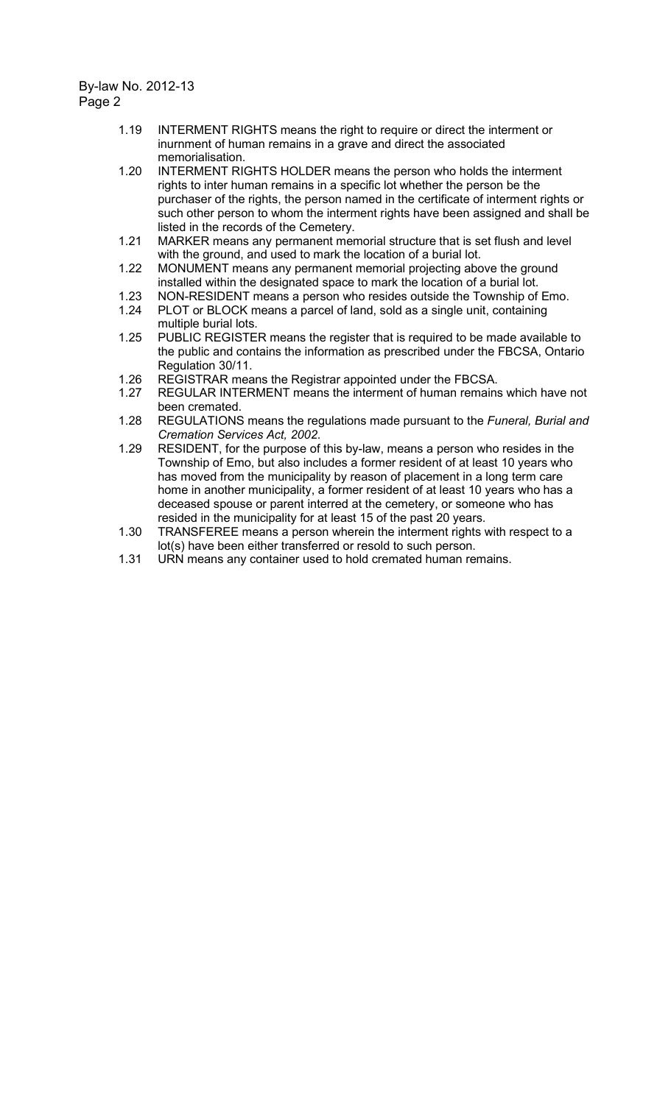- 1.19 INTERMENT RIGHTS means the right to require or direct the interment or inurnment of human remains in a grave and direct the associated memorialisation.
- 1.20 INTERMENT RIGHTS HOLDER means the person who holds the interment rights to inter human remains in a specific lot whether the person be the purchaser of the rights, the person named in the certificate of interment rights or such other person to whom the interment rights have been assigned and shall be listed in the records of the Cemetery.
- 1.21 MARKER means any permanent memorial structure that is set flush and level with the ground, and used to mark the location of a burial lot.
- 1.22 MONUMENT means any permanent memorial projecting above the ground installed within the designated space to mark the location of a burial lot.
- 1.23 NON-RESIDENT means a person who resides outside the Township of Emo.
- 1.24 PLOT or BLOCK means a parcel of land, sold as a single unit, containing multiple burial lots.
- 1.25 PUBLIC REGISTER means the register that is required to be made available to the public and contains the information as prescribed under the FBCSA, Ontario Regulation 30/11.
- 1.26 REGISTRAR means the Registrar appointed under the FBCSA.
- 1.27 REGULAR INTERMENT means the interment of human remains which have not been cremated.
- 1.28 REGULATIONS means the regulations made pursuant to the Funeral, Burial and Cremation Services Act, 2002.
- 1.29 RESIDENT, for the purpose of this by-law, means a person who resides in the Township of Emo, but also includes a former resident of at least 10 years who has moved from the municipality by reason of placement in a long term care home in another municipality, a former resident of at least 10 years who has a deceased spouse or parent interred at the cemetery, or someone who has resided in the municipality for at least 15 of the past 20 years.
- 1.30 TRANSFEREE means a person wherein the interment rights with respect to a lot(s) have been either transferred or resold to such person.
- 1.31 URN means any container used to hold cremated human remains.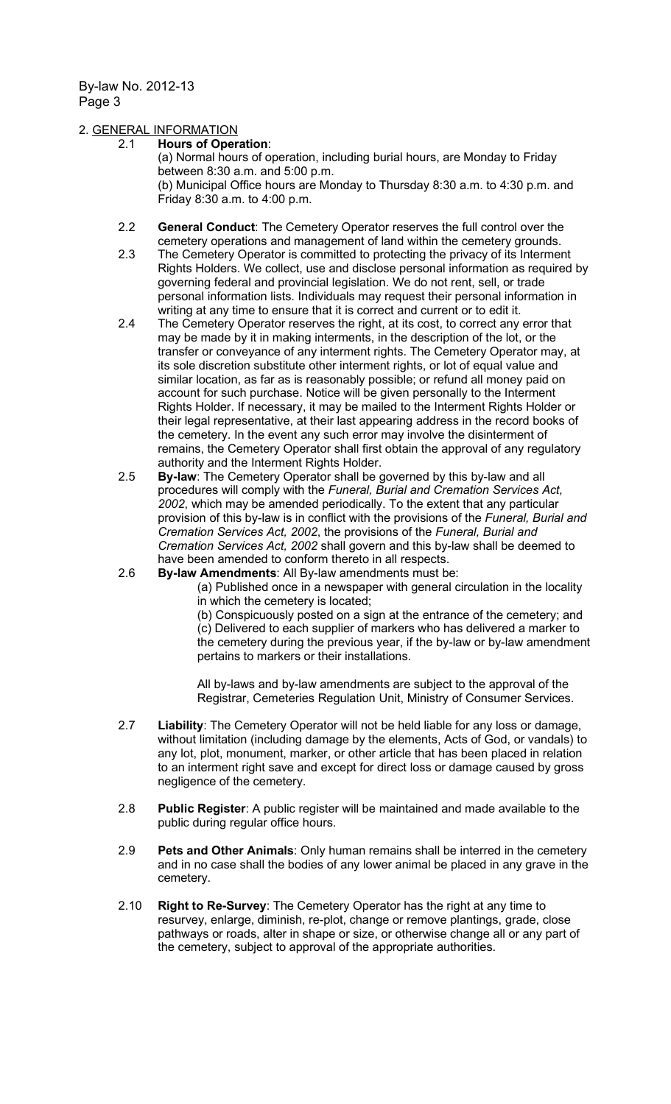### 2. GENERAL INFORMATION

#### 2.1 Hours of Operation:

(a) Normal hours of operation, including burial hours, are Monday to Friday between 8:30 a.m. and 5:00 p.m. (b) Municipal Office hours are Monday to Thursday 8:30 a.m. to 4:30 p.m. and Friday 8:30 a.m. to 4:00 p.m.

- 2.2 General Conduct: The Cemetery Operator reserves the full control over the cemetery operations and management of land within the cemetery grounds.
- 2.3 The Cemetery Operator is committed to protecting the privacy of its Interment Rights Holders. We collect, use and disclose personal information as required by governing federal and provincial legislation. We do not rent, sell, or trade personal information lists. Individuals may request their personal information in writing at any time to ensure that it is correct and current or to edit it.
- 2.4 The Cemetery Operator reserves the right, at its cost, to correct any error that may be made by it in making interments, in the description of the lot, or the transfer or conveyance of any interment rights. The Cemetery Operator may, at its sole discretion substitute other interment rights, or lot of equal value and similar location, as far as is reasonably possible; or refund all money paid on account for such purchase. Notice will be given personally to the Interment Rights Holder. If necessary, it may be mailed to the Interment Rights Holder or their legal representative, at their last appearing address in the record books of the cemetery. In the event any such error may involve the disinterment of remains, the Cemetery Operator shall first obtain the approval of any regulatory authority and the Interment Rights Holder.
- 2.5 By-law: The Cemetery Operator shall be governed by this by-law and all procedures will comply with the Funeral, Burial and Cremation Services Act, 2002, which may be amended periodically. To the extent that any particular provision of this by-law is in conflict with the provisions of the Funeral, Burial and Cremation Services Act, 2002, the provisions of the Funeral, Burial and Cremation Services Act, 2002 shall govern and this by-law shall be deemed to have been amended to conform thereto in all respects.
- 2.6 By-law Amendments: All By-law amendments must be:
	- (a) Published once in a newspaper with general circulation in the locality in which the cemetery is located;

(b) Conspicuously posted on a sign at the entrance of the cemetery; and (c) Delivered to each supplier of markers who has delivered a marker to the cemetery during the previous year, if the by-law or by-law amendment pertains to markers or their installations.

All by-laws and by-law amendments are subject to the approval of the Registrar, Cemeteries Regulation Unit, Ministry of Consumer Services.

- 2.7 Liability: The Cemetery Operator will not be held liable for any loss or damage, without limitation (including damage by the elements, Acts of God, or vandals) to any lot, plot, monument, marker, or other article that has been placed in relation to an interment right save and except for direct loss or damage caused by gross negligence of the cemetery.
- 2.8 Public Register: A public register will be maintained and made available to the public during regular office hours.
- 2.9 Pets and Other Animals: Only human remains shall be interred in the cemetery and in no case shall the bodies of any lower animal be placed in any grave in the cemetery.
- 2.10 Right to Re-Survey: The Cemetery Operator has the right at any time to resurvey, enlarge, diminish, re-plot, change or remove plantings, grade, close pathways or roads, alter in shape or size, or otherwise change all or any part of the cemetery, subject to approval of the appropriate authorities.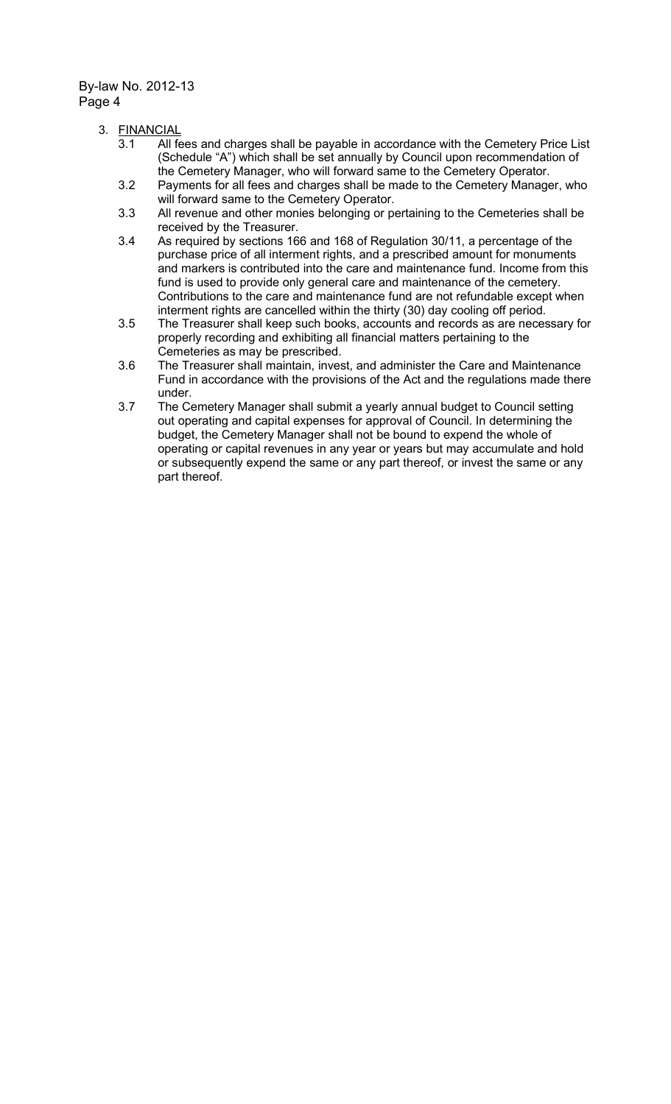- 3. FINANCIAL
	- 3.1 All fees and charges shall be payable in accordance with the Cemetery Price List (Schedule "A") which shall be set annually by Council upon recommendation of the Cemetery Manager, who will forward same to the Cemetery Operator.
	- 3.2 Payments for all fees and charges shall be made to the Cemetery Manager, who will forward same to the Cemetery Operator.
	- 3.3 All revenue and other monies belonging or pertaining to the Cemeteries shall be received by the Treasurer.
	- 3.4 As required by sections 166 and 168 of Regulation 30/11, a percentage of the purchase price of all interment rights, and a prescribed amount for monuments and markers is contributed into the care and maintenance fund. Income from this fund is used to provide only general care and maintenance of the cemetery. Contributions to the care and maintenance fund are not refundable except when interment rights are cancelled within the thirty (30) day cooling off period.
	- 3.5 The Treasurer shall keep such books, accounts and records as are necessary for properly recording and exhibiting all financial matters pertaining to the Cemeteries as may be prescribed.
	- 3.6 The Treasurer shall maintain, invest, and administer the Care and Maintenance Fund in accordance with the provisions of the Act and the regulations made there under.
	- 3.7 The Cemetery Manager shall submit a yearly annual budget to Council setting out operating and capital expenses for approval of Council. In determining the budget, the Cemetery Manager shall not be bound to expend the whole of operating or capital revenues in any year or years but may accumulate and hold or subsequently expend the same or any part thereof, or invest the same or any part thereof.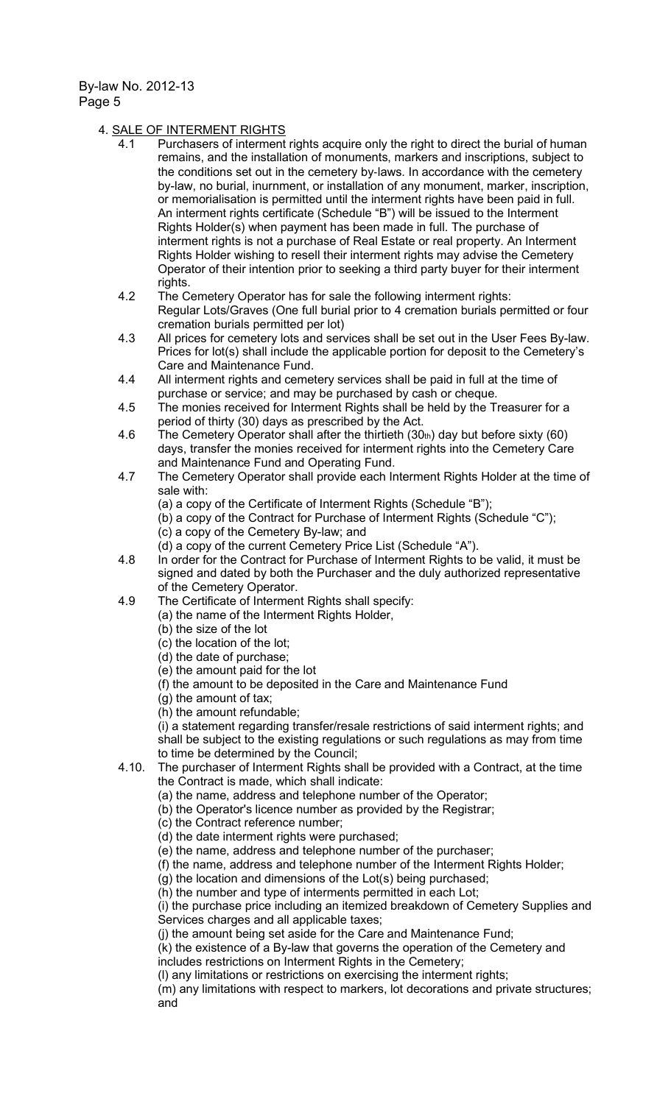### 4. SALE OF INTERMENT RIGHTS

- 4.1 Purchasers of interment rights acquire only the right to direct the burial of human remains, and the installation of monuments, markers and inscriptions, subject to the conditions set out in the cemetery by‐laws. In accordance with the cemetery by-law, no burial, inurnment, or installation of any monument, marker, inscription, or memorialisation is permitted until the interment rights have been paid in full. An interment rights certificate (Schedule "B") will be issued to the Interment Rights Holder(s) when payment has been made in full. The purchase of interment rights is not a purchase of Real Estate or real property. An Interment Rights Holder wishing to resell their interment rights may advise the Cemetery Operator of their intention prior to seeking a third party buyer for their interment rights.
- 4.2 The Cemetery Operator has for sale the following interment rights: Regular Lots/Graves (One full burial prior to 4 cremation burials permitted or four cremation burials permitted per lot)
- 4.3 All prices for cemetery lots and services shall be set out in the User Fees By-law. Prices for lot(s) shall include the applicable portion for deposit to the Cemetery's Care and Maintenance Fund.
- 4.4 All interment rights and cemetery services shall be paid in full at the time of purchase or service; and may be purchased by cash or cheque.
- 4.5 The monies received for Interment Rights shall be held by the Treasurer for a period of thirty (30) days as prescribed by the Act.
- 4.6 The Cemetery Operator shall after the thirtieth  $(30<sub>th</sub>)$  day but before sixty  $(60)$ days, transfer the monies received for interment rights into the Cemetery Care and Maintenance Fund and Operating Fund.
- 4.7 The Cemetery Operator shall provide each Interment Rights Holder at the time of sale with:
	- (a) a copy of the Certificate of Interment Rights (Schedule "B");
	- (b) a copy of the Contract for Purchase of Interment Rights (Schedule "C");
	- (c) a copy of the Cemetery By-law; and
	- (d) a copy of the current Cemetery Price List (Schedule "A").
- 4.8 In order for the Contract for Purchase of Interment Rights to be valid, it must be signed and dated by both the Purchaser and the duly authorized representative of the Cemetery Operator.
- 4.9 The Certificate of Interment Rights shall specify:
	- (a) the name of the Interment Rights Holder,
		- (b) the size of the lot
		- (c) the location of the lot;
		- (d) the date of purchase;
		- (e) the amount paid for the lot
		- (f) the amount to be deposited in the Care and Maintenance Fund
		- (g) the amount of tax;
		- (h) the amount refundable;

(i) a statement regarding transfer/resale restrictions of said interment rights; and shall be subject to the existing regulations or such regulations as may from time to time be determined by the Council;

- 4.10. The purchaser of Interment Rights shall be provided with a Contract, at the time the Contract is made, which shall indicate:
	- (a) the name, address and telephone number of the Operator;
	- (b) the Operator's licence number as provided by the Registrar;
	- (c) the Contract reference number;
	- (d) the date interment rights were purchased;
	- (e) the name, address and telephone number of the purchaser;
	- (f) the name, address and telephone number of the Interment Rights Holder;
	- (g) the location and dimensions of the Lot(s) being purchased;
	- (h) the number and type of interments permitted in each Lot;

(i) the purchase price including an itemized breakdown of Cemetery Supplies and Services charges and all applicable taxes;

(j) the amount being set aside for the Care and Maintenance Fund;

(k) the existence of a By-law that governs the operation of the Cemetery and includes restrictions on Interment Rights in the Cemetery;

(l) any limitations or restrictions on exercising the interment rights;

(m) any limitations with respect to markers, lot decorations and private structures; and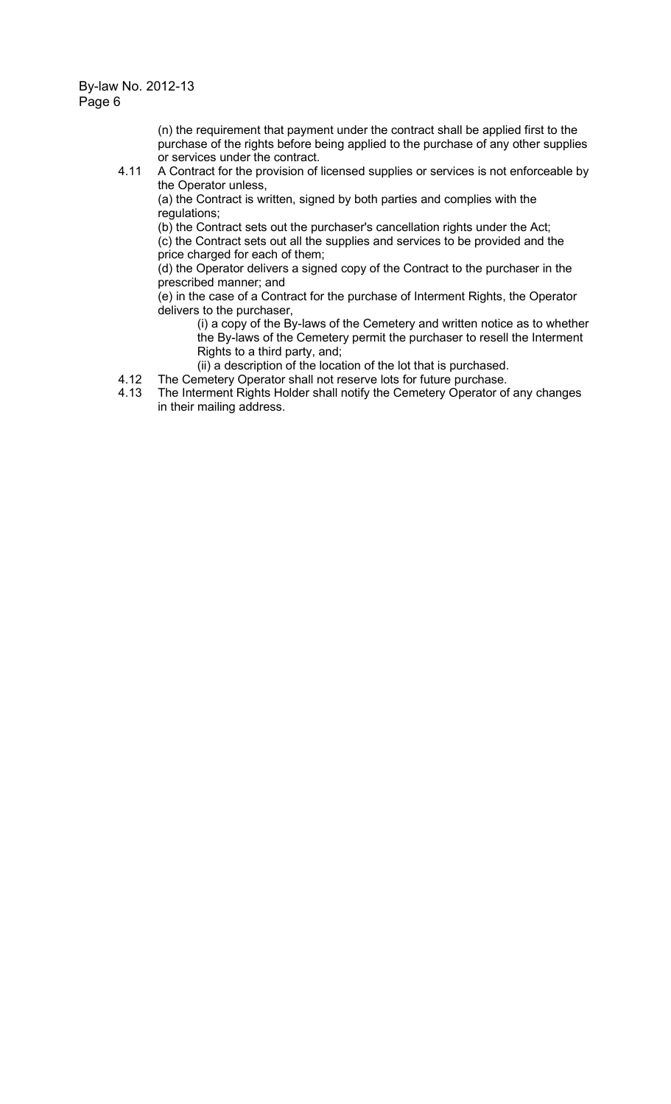(n) the requirement that payment under the contract shall be applied first to the purchase of the rights before being applied to the purchase of any other supplies or services under the contract.

4.11 A Contract for the provision of licensed supplies or services is not enforceable by the Operator unless,

(a) the Contract is written, signed by both parties and complies with the regulations;

(b) the Contract sets out the purchaser's cancellation rights under the Act; (c) the Contract sets out all the supplies and services to be provided and the

price charged for each of them;

(d) the Operator delivers a signed copy of the Contract to the purchaser in the prescribed manner; and

(e) in the case of a Contract for the purchase of Interment Rights, the Operator delivers to the purchaser,

(i) a copy of the By-laws of the Cemetery and written notice as to whether the By-laws of the Cemetery permit the purchaser to resell the Interment Rights to a third party, and;

- (ii) a description of the location of the lot that is purchased.
- 4.12 The Cemetery Operator shall not reserve lots for future purchase.
- 4.13 The Interment Rights Holder shall notify the Cemetery Operator of any changes in their mailing address.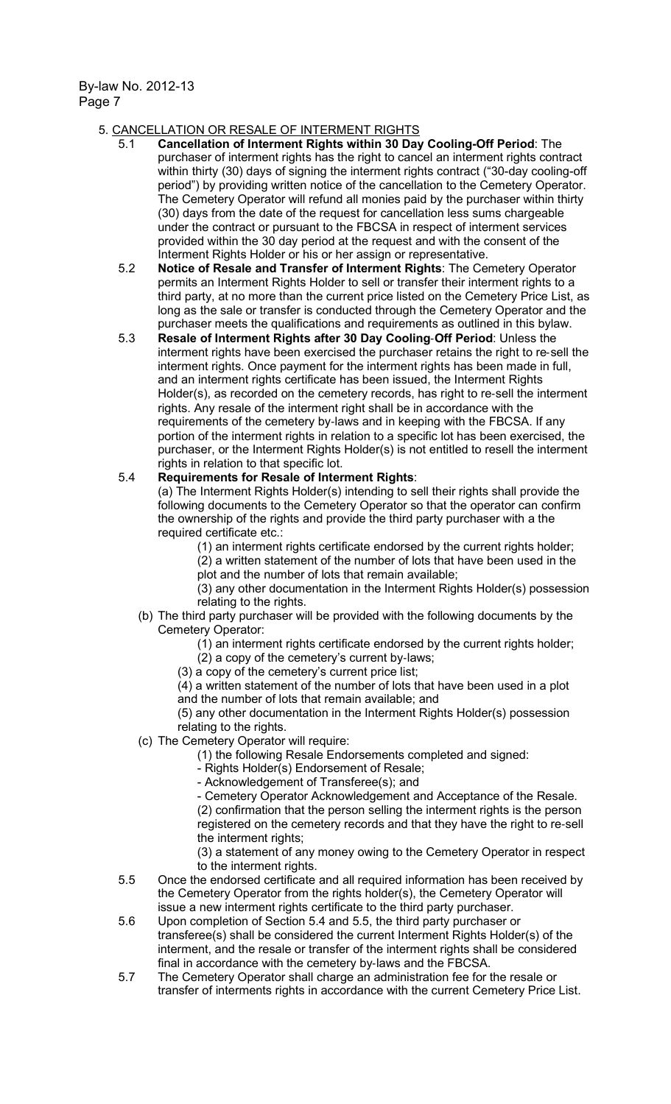### 5. CANCELLATION OR RESALE OF INTERMENT RIGHTS

- 5.1 Cancellation of Interment Rights within 30 Day Cooling-Off Period: The purchaser of interment rights has the right to cancel an interment rights contract within thirty (30) days of signing the interment rights contract ("30-day cooling-off period") by providing written notice of the cancellation to the Cemetery Operator. The Cemetery Operator will refund all monies paid by the purchaser within thirty (30) days from the date of the request for cancellation less sums chargeable under the contract or pursuant to the FBCSA in respect of interment services provided within the 30 day period at the request and with the consent of the Interment Rights Holder or his or her assign or representative.
- 5.2 Notice of Resale and Transfer of Interment Rights: The Cemetery Operator permits an Interment Rights Holder to sell or transfer their interment rights to a third party, at no more than the current price listed on the Cemetery Price List, as long as the sale or transfer is conducted through the Cemetery Operator and the purchaser meets the qualifications and requirements as outlined in this bylaw.
- 5.3 Resale of Interment Rights after 30 Day Cooling-Off Period: Unless the interment rights have been exercised the purchaser retains the right to re‐sell the interment rights. Once payment for the interment rights has been made in full, and an interment rights certificate has been issued, the Interment Rights Holder(s), as recorded on the cemetery records, has right to re-sell the interment rights. Any resale of the interment right shall be in accordance with the requirements of the cemetery by-laws and in keeping with the FBCSA. If any portion of the interment rights in relation to a specific lot has been exercised, the purchaser, or the Interment Rights Holder(s) is not entitled to resell the interment rights in relation to that specific lot.

### 5.4 Requirements for Resale of Interment Rights:

(a) The Interment Rights Holder(s) intending to sell their rights shall provide the following documents to the Cemetery Operator so that the operator can confirm the ownership of the rights and provide the third party purchaser with a the required certificate etc.:

(1) an interment rights certificate endorsed by the current rights holder;

(2) a written statement of the number of lots that have been used in the plot and the number of lots that remain available;

(3) any other documentation in the Interment Rights Holder(s) possession relating to the rights.

- (b) The third party purchaser will be provided with the following documents by the Cemetery Operator:
	- (1) an interment rights certificate endorsed by the current rights holder;
	- (2) a copy of the cemetery's current by‐laws;
	- (3) a copy of the cemetery's current price list;

(4) a written statement of the number of lots that have been used in a plot and the number of lots that remain available; and

(5) any other documentation in the Interment Rights Holder(s) possession relating to the rights.

- (c) The Cemetery Operator will require:
	- (1) the following Resale Endorsements completed and signed:
	- Rights Holder(s) Endorsement of Resale;

- Acknowledgement of Transferee(s); and

- Cemetery Operator Acknowledgement and Acceptance of the Resale. (2) confirmation that the person selling the interment rights is the person registered on the cemetery records and that they have the right to re‐sell the interment rights;

(3) a statement of any money owing to the Cemetery Operator in respect to the interment rights.

- 5.5 Once the endorsed certificate and all required information has been received by the Cemetery Operator from the rights holder(s), the Cemetery Operator will issue a new interment rights certificate to the third party purchaser.
- 5.6 Upon completion of Section 5.4 and 5.5, the third party purchaser or transferee(s) shall be considered the current Interment Rights Holder(s) of the interment, and the resale or transfer of the interment rights shall be considered final in accordance with the cemetery by‐laws and the FBCSA.
- 5.7 The Cemetery Operator shall charge an administration fee for the resale or transfer of interments rights in accordance with the current Cemetery Price List.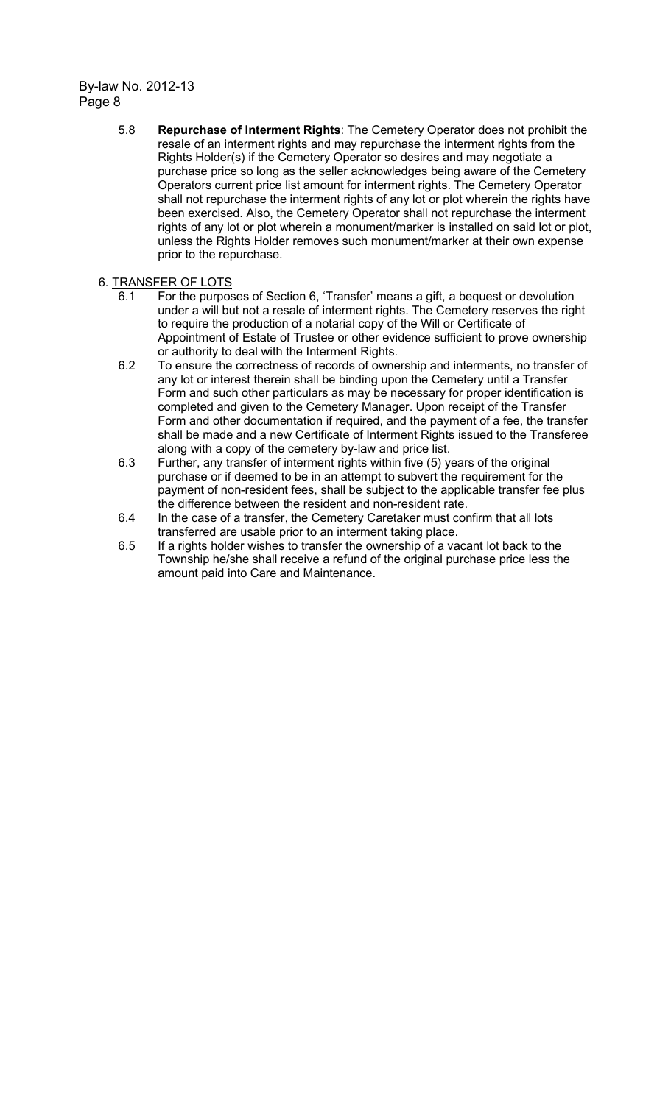> 5.8 Repurchase of Interment Rights: The Cemetery Operator does not prohibit the resale of an interment rights and may repurchase the interment rights from the Rights Holder(s) if the Cemetery Operator so desires and may negotiate a purchase price so long as the seller acknowledges being aware of the Cemetery Operators current price list amount for interment rights. The Cemetery Operator shall not repurchase the interment rights of any lot or plot wherein the rights have been exercised. Also, the Cemetery Operator shall not repurchase the interment rights of any lot or plot wherein a monument/marker is installed on said lot or plot, unless the Rights Holder removes such monument/marker at their own expense prior to the repurchase.

## 6. TRANSFER OF LOTS

- 6.1 For the purposes of Section 6, 'Transfer' means a gift, a bequest or devolution under a will but not a resale of interment rights. The Cemetery reserves the right to require the production of a notarial copy of the Will or Certificate of Appointment of Estate of Trustee or other evidence sufficient to prove ownership or authority to deal with the Interment Rights.
- 6.2 To ensure the correctness of records of ownership and interments, no transfer of any lot or interest therein shall be binding upon the Cemetery until a Transfer Form and such other particulars as may be necessary for proper identification is completed and given to the Cemetery Manager. Upon receipt of the Transfer Form and other documentation if required, and the payment of a fee, the transfer shall be made and a new Certificate of Interment Rights issued to the Transferee along with a copy of the cemetery by-law and price list.
- 6.3 Further, any transfer of interment rights within five (5) years of the original purchase or if deemed to be in an attempt to subvert the requirement for the payment of non-resident fees, shall be subject to the applicable transfer fee plus the difference between the resident and non-resident rate.
- 6.4 In the case of a transfer, the Cemetery Caretaker must confirm that all lots transferred are usable prior to an interment taking place.
- 6.5 If a rights holder wishes to transfer the ownership of a vacant lot back to the Township he/she shall receive a refund of the original purchase price less the amount paid into Care and Maintenance.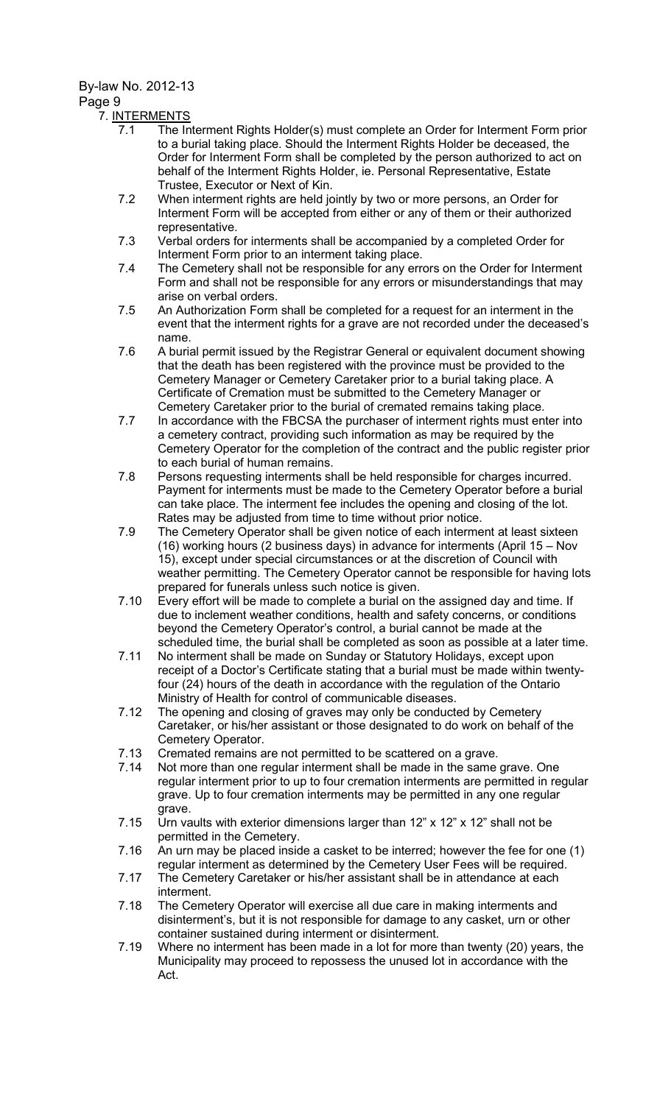#### Page 9

#### 7. INTERMENTS

- 7.1 The Interment Rights Holder(s) must complete an Order for Interment Form prior to a burial taking place. Should the Interment Rights Holder be deceased, the Order for Interment Form shall be completed by the person authorized to act on behalf of the Interment Rights Holder, ie. Personal Representative, Estate Trustee, Executor or Next of Kin.
- 7.2 When interment rights are held jointly by two or more persons, an Order for Interment Form will be accepted from either or any of them or their authorized representative.
- 7.3 Verbal orders for interments shall be accompanied by a completed Order for Interment Form prior to an interment taking place.
- 7.4 The Cemetery shall not be responsible for any errors on the Order for Interment Form and shall not be responsible for any errors or misunderstandings that may arise on verbal orders.
- 7.5 An Authorization Form shall be completed for a request for an interment in the event that the interment rights for a grave are not recorded under the deceased's name.
- 7.6 A burial permit issued by the Registrar General or equivalent document showing that the death has been registered with the province must be provided to the Cemetery Manager or Cemetery Caretaker prior to a burial taking place. A Certificate of Cremation must be submitted to the Cemetery Manager or Cemetery Caretaker prior to the burial of cremated remains taking place.
- 7.7 In accordance with the FBCSA the purchaser of interment rights must enter into a cemetery contract, providing such information as may be required by the Cemetery Operator for the completion of the contract and the public register prior to each burial of human remains.
- 7.8 Persons requesting interments shall be held responsible for charges incurred. Payment for interments must be made to the Cemetery Operator before a burial can take place. The interment fee includes the opening and closing of the lot. Rates may be adjusted from time to time without prior notice.
- 7.9 The Cemetery Operator shall be given notice of each interment at least sixteen (16) working hours (2 business days) in advance for interments (April 15 – Nov 15), except under special circumstances or at the discretion of Council with weather permitting. The Cemetery Operator cannot be responsible for having lots prepared for funerals unless such notice is given.
- 7.10 Every effort will be made to complete a burial on the assigned day and time. If due to inclement weather conditions, health and safety concerns, or conditions beyond the Cemetery Operator's control, a burial cannot be made at the scheduled time, the burial shall be completed as soon as possible at a later time.
- 7.11 No interment shall be made on Sunday or Statutory Holidays, except upon receipt of a Doctor's Certificate stating that a burial must be made within twentyfour (24) hours of the death in accordance with the regulation of the Ontario Ministry of Health for control of communicable diseases.
- 7.12 The opening and closing of graves may only be conducted by Cemetery Caretaker, or his/her assistant or those designated to do work on behalf of the Cemetery Operator.
- 7.13 Cremated remains are not permitted to be scattered on a grave.<br>7.14 Not more than one regular interment shall be made in the same
- Not more than one regular interment shall be made in the same grave. One regular interment prior to up to four cremation interments are permitted in regular grave. Up to four cremation interments may be permitted in any one regular grave.
- 7.15 Urn vaults with exterior dimensions larger than 12" x 12" x 12" shall not be permitted in the Cemetery.
- 7.16 An urn may be placed inside a casket to be interred; however the fee for one (1) regular interment as determined by the Cemetery User Fees will be required.
- 7.17 The Cemetery Caretaker or his/her assistant shall be in attendance at each interment.
- 7.18 The Cemetery Operator will exercise all due care in making interments and disinterment's, but it is not responsible for damage to any casket, urn or other container sustained during interment or disinterment.
- 7.19 Where no interment has been made in a lot for more than twenty (20) years, the Municipality may proceed to repossess the unused lot in accordance with the Act.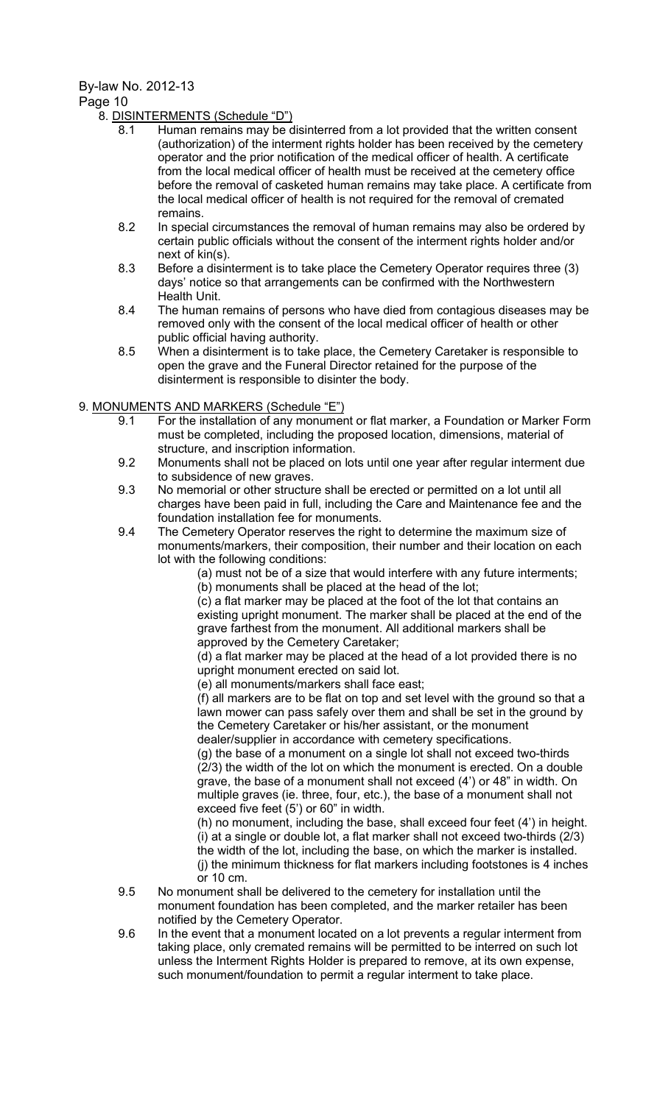## Page 10

8. DISINTERMENTS (Schedule "D")

- 8.1 Human remains may be disinterred from a lot provided that the written consent (authorization) of the interment rights holder has been received by the cemetery operator and the prior notification of the medical officer of health. A certificate from the local medical officer of health must be received at the cemetery office before the removal of casketed human remains may take place. A certificate from the local medical officer of health is not required for the removal of cremated remains.
- 8.2 In special circumstances the removal of human remains may also be ordered by certain public officials without the consent of the interment rights holder and/or next of kin(s).
- 8.3 Before a disinterment is to take place the Cemetery Operator requires three (3) days' notice so that arrangements can be confirmed with the Northwestern Health Unit.
- 8.4 The human remains of persons who have died from contagious diseases may be removed only with the consent of the local medical officer of health or other public official having authority.
- 8.5 When a disinterment is to take place, the Cemetery Caretaker is responsible to open the grave and the Funeral Director retained for the purpose of the disinterment is responsible to disinter the body.

# 9. MONUMENTS AND MARKERS (Schedule "E")

- 9.1 For the installation of any monument or flat marker, a Foundation or Marker Form must be completed, including the proposed location, dimensions, material of structure, and inscription information.
- 9.2 Monuments shall not be placed on lots until one year after regular interment due to subsidence of new graves.
- 9.3 No memorial or other structure shall be erected or permitted on a lot until all charges have been paid in full, including the Care and Maintenance fee and the foundation installation fee for monuments.
- 9.4 The Cemetery Operator reserves the right to determine the maximum size of monuments/markers, their composition, their number and their location on each lot with the following conditions:

(a) must not be of a size that would interfere with any future interments; (b) monuments shall be placed at the head of the lot;

(c) a flat marker may be placed at the foot of the lot that contains an existing upright monument. The marker shall be placed at the end of the grave farthest from the monument. All additional markers shall be approved by the Cemetery Caretaker;

(d) a flat marker may be placed at the head of a lot provided there is no upright monument erected on said lot.

(e) all monuments/markers shall face east;

(f) all markers are to be flat on top and set level with the ground so that a lawn mower can pass safely over them and shall be set in the ground by the Cemetery Caretaker or his/her assistant, or the monument dealer/supplier in accordance with cemetery specifications.

(g) the base of a monument on a single lot shall not exceed two-thirds (2/3) the width of the lot on which the monument is erected. On a double grave, the base of a monument shall not exceed (4') or 48" in width. On multiple graves (ie. three, four, etc.), the base of a monument shall not exceed five feet (5') or 60" in width.

(h) no monument, including the base, shall exceed four feet (4') in height. (i) at a single or double lot, a flat marker shall not exceed two-thirds (2/3) the width of the lot, including the base, on which the marker is installed. (j) the minimum thickness for flat markers including footstones is 4 inches or 10 cm.

- 9.5 No monument shall be delivered to the cemetery for installation until the monument foundation has been completed, and the marker retailer has been notified by the Cemetery Operator.
- 9.6 In the event that a monument located on a lot prevents a regular interment from taking place, only cremated remains will be permitted to be interred on such lot unless the Interment Rights Holder is prepared to remove, at its own expense, such monument/foundation to permit a regular interment to take place.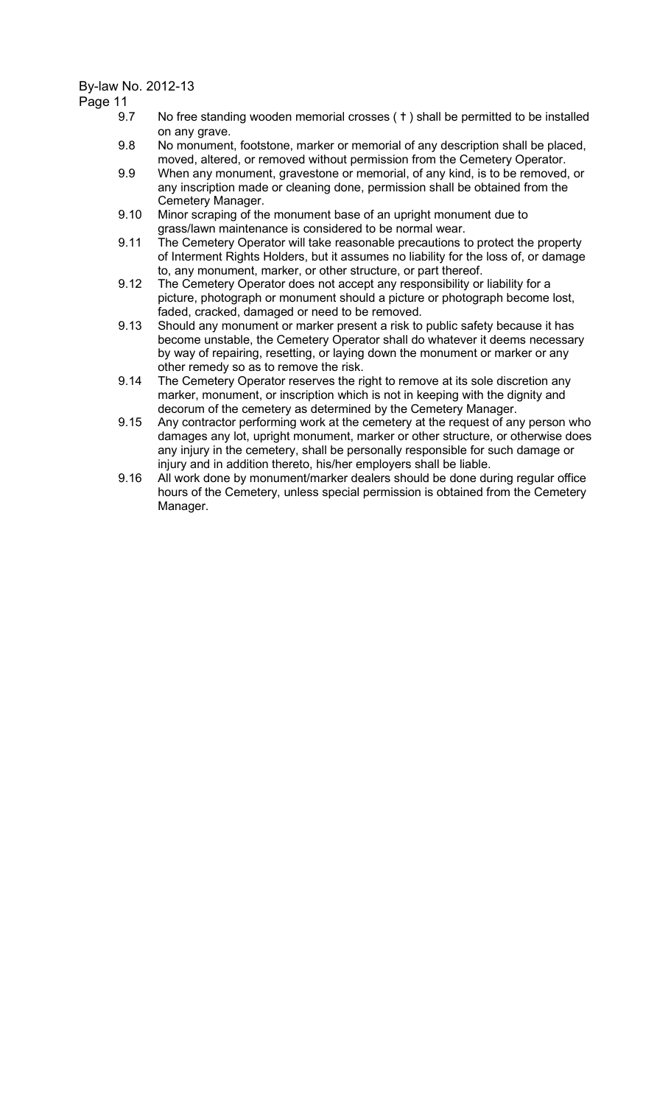Page 11

- 9.7 No free standing wooden memorial crosses (†) shall be permitted to be installed on any grave.
- 9.8 No monument, footstone, marker or memorial of any description shall be placed, moved, altered, or removed without permission from the Cemetery Operator.
- 9.9 When any monument, gravestone or memorial, of any kind, is to be removed, or any inscription made or cleaning done, permission shall be obtained from the Cemetery Manager.
- 9.10 Minor scraping of the monument base of an upright monument due to grass/lawn maintenance is considered to be normal wear.
- 9.11 The Cemetery Operator will take reasonable precautions to protect the property of Interment Rights Holders, but it assumes no liability for the loss of, or damage to, any monument, marker, or other structure, or part thereof.
- 9.12 The Cemetery Operator does not accept any responsibility or liability for a picture, photograph or monument should a picture or photograph become lost, faded, cracked, damaged or need to be removed.
- 9.13 Should any monument or marker present a risk to public safety because it has become unstable, the Cemetery Operator shall do whatever it deems necessary by way of repairing, resetting, or laying down the monument or marker or any other remedy so as to remove the risk.
- 9.14 The Cemetery Operator reserves the right to remove at its sole discretion any marker, monument, or inscription which is not in keeping with the dignity and decorum of the cemetery as determined by the Cemetery Manager.
- 9.15 Any contractor performing work at the cemetery at the request of any person who damages any lot, upright monument, marker or other structure, or otherwise does any injury in the cemetery, shall be personally responsible for such damage or injury and in addition thereto, his/her employers shall be liable.
- 9.16 All work done by monument/marker dealers should be done during regular office hours of the Cemetery, unless special permission is obtained from the Cemetery Manager.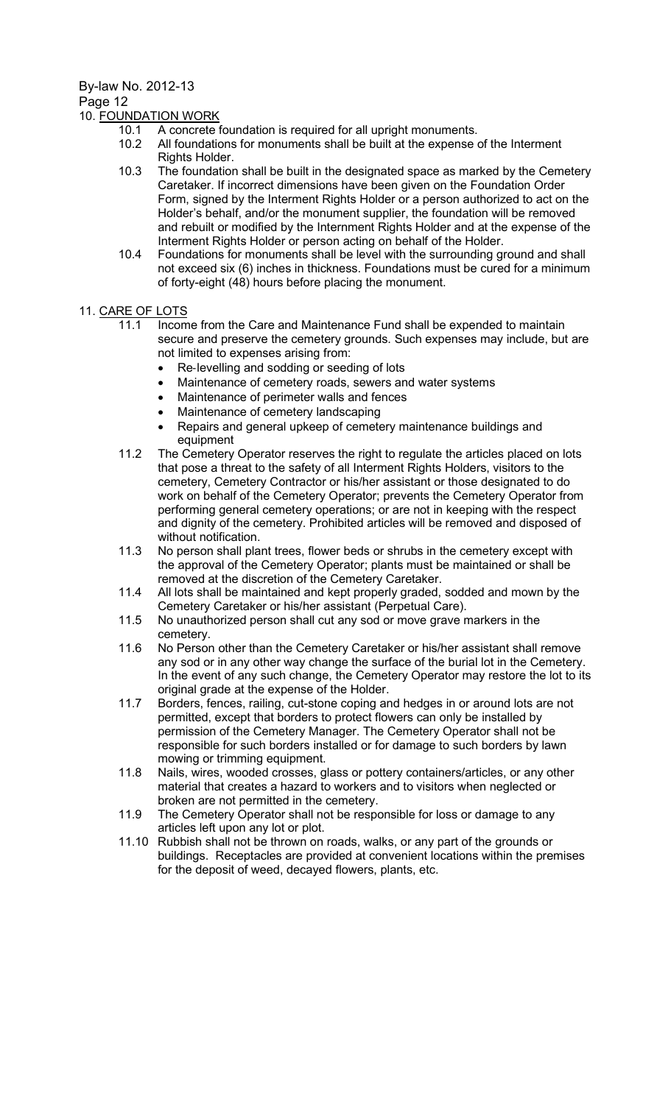# Page 12

# 10. FOUNDATION WORK

- 10.1 A concrete foundation is required for all upright monuments.
	- 10.2 All foundations for monuments shall be built at the expense of the Interment Rights Holder.
	- 10.3 The foundation shall be built in the designated space as marked by the Cemetery Caretaker. If incorrect dimensions have been given on the Foundation Order Form, signed by the Interment Rights Holder or a person authorized to act on the Holder's behalf, and/or the monument supplier, the foundation will be removed and rebuilt or modified by the Internment Rights Holder and at the expense of the Interment Rights Holder or person acting on behalf of the Holder.
	- 10.4 Foundations for monuments shall be level with the surrounding ground and shall not exceed six (6) inches in thickness. Foundations must be cured for a minimum of forty-eight (48) hours before placing the monument.

# 11. CARE OF LOTS

- 11.1 Income from the Care and Maintenance Fund shall be expended to maintain secure and preserve the cemetery grounds. Such expenses may include, but are not limited to expenses arising from:
	- Re‐levelling and sodding or seeding of lots
	- Maintenance of cemetery roads, sewers and water systems
	- Maintenance of perimeter walls and fences
	- Maintenance of cemetery landscaping
	- Repairs and general upkeep of cemetery maintenance buildings and equipment
- 11.2 The Cemetery Operator reserves the right to regulate the articles placed on lots that pose a threat to the safety of all Interment Rights Holders, visitors to the cemetery, Cemetery Contractor or his/her assistant or those designated to do work on behalf of the Cemetery Operator; prevents the Cemetery Operator from performing general cemetery operations; or are not in keeping with the respect and dignity of the cemetery. Prohibited articles will be removed and disposed of without notification.
- 11.3 No person shall plant trees, flower beds or shrubs in the cemetery except with the approval of the Cemetery Operator; plants must be maintained or shall be removed at the discretion of the Cemetery Caretaker.
- 11.4 All lots shall be maintained and kept properly graded, sodded and mown by the Cemetery Caretaker or his/her assistant (Perpetual Care).
- 11.5 No unauthorized person shall cut any sod or move grave markers in the cemetery.
- 11.6 No Person other than the Cemetery Caretaker or his/her assistant shall remove any sod or in any other way change the surface of the burial lot in the Cemetery. In the event of any such change, the Cemetery Operator may restore the lot to its original grade at the expense of the Holder.
- 11.7 Borders, fences, railing, cut-stone coping and hedges in or around lots are not permitted, except that borders to protect flowers can only be installed by permission of the Cemetery Manager. The Cemetery Operator shall not be responsible for such borders installed or for damage to such borders by lawn mowing or trimming equipment.
- 11.8 Nails, wires, wooded crosses, glass or pottery containers/articles, or any other material that creates a hazard to workers and to visitors when neglected or broken are not permitted in the cemetery.
- 11.9 The Cemetery Operator shall not be responsible for loss or damage to any articles left upon any lot or plot.
- 11.10 Rubbish shall not be thrown on roads, walks, or any part of the grounds or buildings. Receptacles are provided at convenient locations within the premises for the deposit of weed, decayed flowers, plants, etc.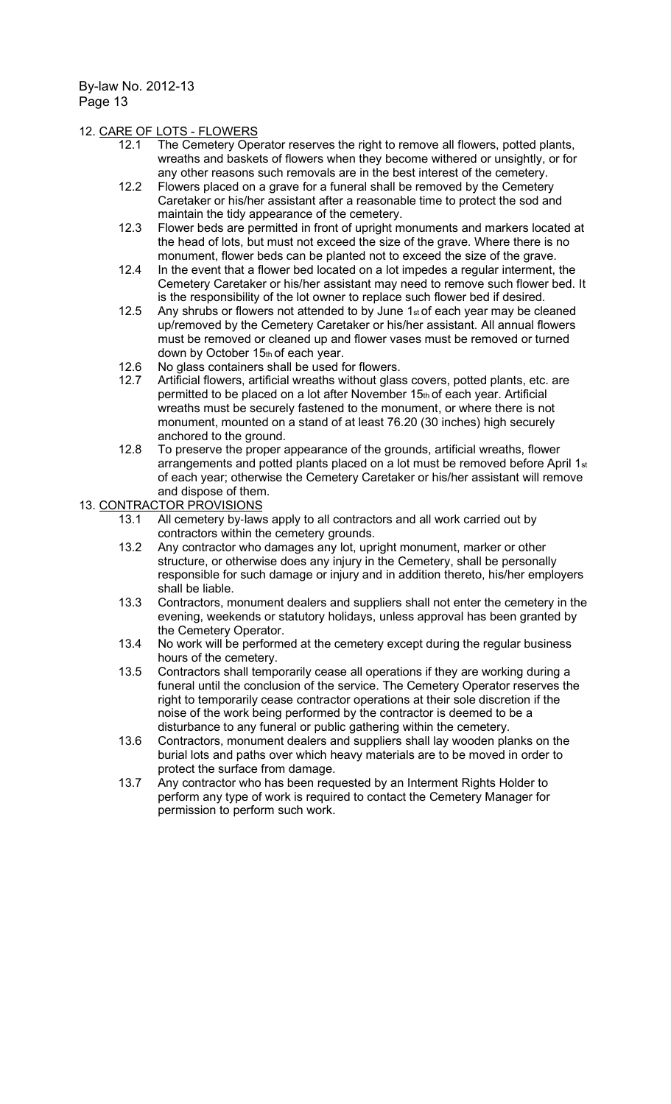### 12. CARE OF LOTS - FLOWERS

- 12.1 The Cemetery Operator reserves the right to remove all flowers, potted plants, wreaths and baskets of flowers when they become withered or unsightly, or for any other reasons such removals are in the best interest of the cemetery.
- 12.2 Flowers placed on a grave for a funeral shall be removed by the Cemetery Caretaker or his/her assistant after a reasonable time to protect the sod and maintain the tidy appearance of the cemetery.
- 12.3 Flower beds are permitted in front of upright monuments and markers located at the head of lots, but must not exceed the size of the grave. Where there is no monument, flower beds can be planted not to exceed the size of the grave.
- 12.4 In the event that a flower bed located on a lot impedes a regular interment, the Cemetery Caretaker or his/her assistant may need to remove such flower bed. It is the responsibility of the lot owner to replace such flower bed if desired.
- 12.5 Any shrubs or flowers not attended to by June  $1<sub>st</sub>$  of each year may be cleaned up/removed by the Cemetery Caretaker or his/her assistant. All annual flowers must be removed or cleaned up and flower vases must be removed or turned down by October 15th of each year.
- 12.6 No glass containers shall be used for flowers.<br>12.7 Artificial flowers, artificial wreaths without glas
- Artificial flowers, artificial wreaths without glass covers, potted plants, etc. are permitted to be placed on a lot after November  $15<sub>th</sub>$  of each year. Artificial wreaths must be securely fastened to the monument, or where there is not monument, mounted on a stand of at least 76.20 (30 inches) high securely anchored to the ground.
- 12.8 To preserve the proper appearance of the grounds, artificial wreaths, flower arrangements and potted plants placed on a lot must be removed before April 1st of each year; otherwise the Cemetery Caretaker or his/her assistant will remove and dispose of them.
- 13. CONTRACTOR PROVISIONS
	- 13.1 All cemetery by-laws apply to all contractors and all work carried out by contractors within the cemetery grounds.
	- 13.2 Any contractor who damages any lot, upright monument, marker or other structure, or otherwise does any injury in the Cemetery, shall be personally responsible for such damage or injury and in addition thereto, his/her employers shall be liable.
	- 13.3 Contractors, monument dealers and suppliers shall not enter the cemetery in the evening, weekends or statutory holidays, unless approval has been granted by the Cemetery Operator.
	- 13.4 No work will be performed at the cemetery except during the regular business hours of the cemetery.
	- 13.5 Contractors shall temporarily cease all operations if they are working during a funeral until the conclusion of the service. The Cemetery Operator reserves the right to temporarily cease contractor operations at their sole discretion if the noise of the work being performed by the contractor is deemed to be a disturbance to any funeral or public gathering within the cemetery.
	- 13.6 Contractors, monument dealers and suppliers shall lay wooden planks on the burial lots and paths over which heavy materials are to be moved in order to protect the surface from damage.
	- 13.7 Any contractor who has been requested by an Interment Rights Holder to perform any type of work is required to contact the Cemetery Manager for permission to perform such work.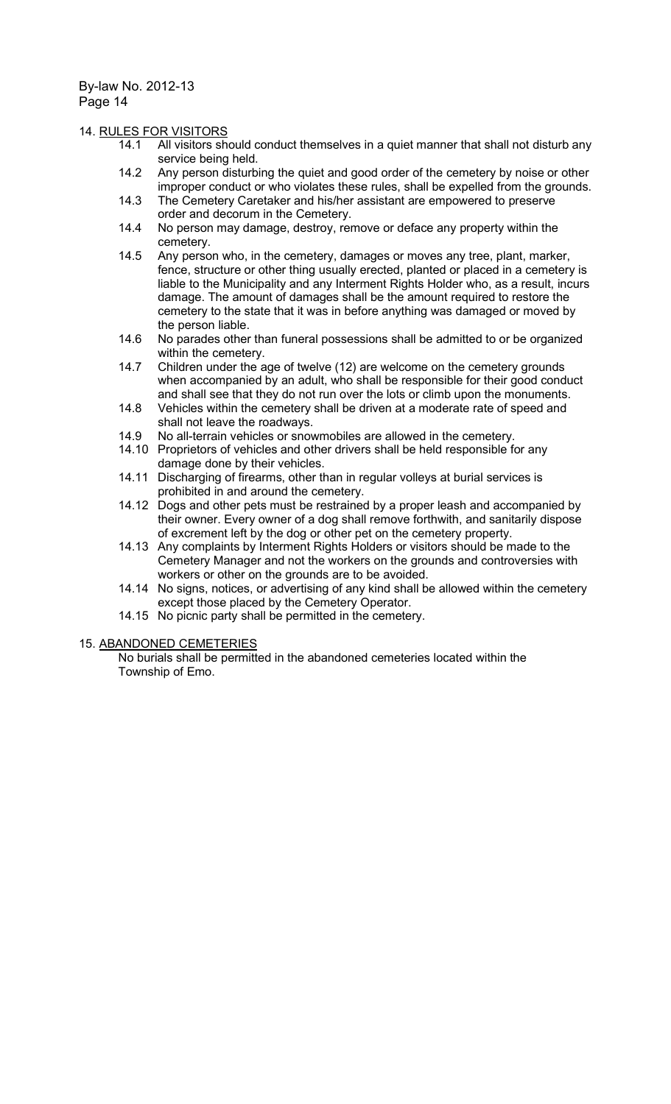#### 14. RULES FOR VISITORS

- 14.1 All visitors should conduct themselves in a quiet manner that shall not disturb any service being held.
- 14.2 Any person disturbing the quiet and good order of the cemetery by noise or other improper conduct or who violates these rules, shall be expelled from the grounds.
- 14.3 The Cemetery Caretaker and his/her assistant are empowered to preserve order and decorum in the Cemetery.
- 14.4 No person may damage, destroy, remove or deface any property within the cemetery.
- 14.5 Any person who, in the cemetery, damages or moves any tree, plant, marker, fence, structure or other thing usually erected, planted or placed in a cemetery is liable to the Municipality and any Interment Rights Holder who, as a result, incurs damage. The amount of damages shall be the amount required to restore the cemetery to the state that it was in before anything was damaged or moved by the person liable.
- 14.6 No parades other than funeral possessions shall be admitted to or be organized within the cemetery.
- 14.7 Children under the age of twelve (12) are welcome on the cemetery grounds when accompanied by an adult, who shall be responsible for their good conduct and shall see that they do not run over the lots or climb upon the monuments.
- 14.8 Vehicles within the cemetery shall be driven at a moderate rate of speed and shall not leave the roadways.
- 14.9 No all-terrain vehicles or snowmobiles are allowed in the cemetery.
- 14.10 Proprietors of vehicles and other drivers shall be held responsible for any damage done by their vehicles.
- 14.11 Discharging of firearms, other than in regular volleys at burial services is prohibited in and around the cemetery.
- 14.12 Dogs and other pets must be restrained by a proper leash and accompanied by their owner. Every owner of a dog shall remove forthwith, and sanitarily dispose of excrement left by the dog or other pet on the cemetery property.
- 14.13 Any complaints by Interment Rights Holders or visitors should be made to the Cemetery Manager and not the workers on the grounds and controversies with workers or other on the grounds are to be avoided.
- 14.14 No signs, notices, or advertising of any kind shall be allowed within the cemetery except those placed by the Cemetery Operator.
- 14.15 No picnic party shall be permitted in the cemetery.

#### 15. ABANDONED CEMETERIES

No burials shall be permitted in the abandoned cemeteries located within the Township of Emo.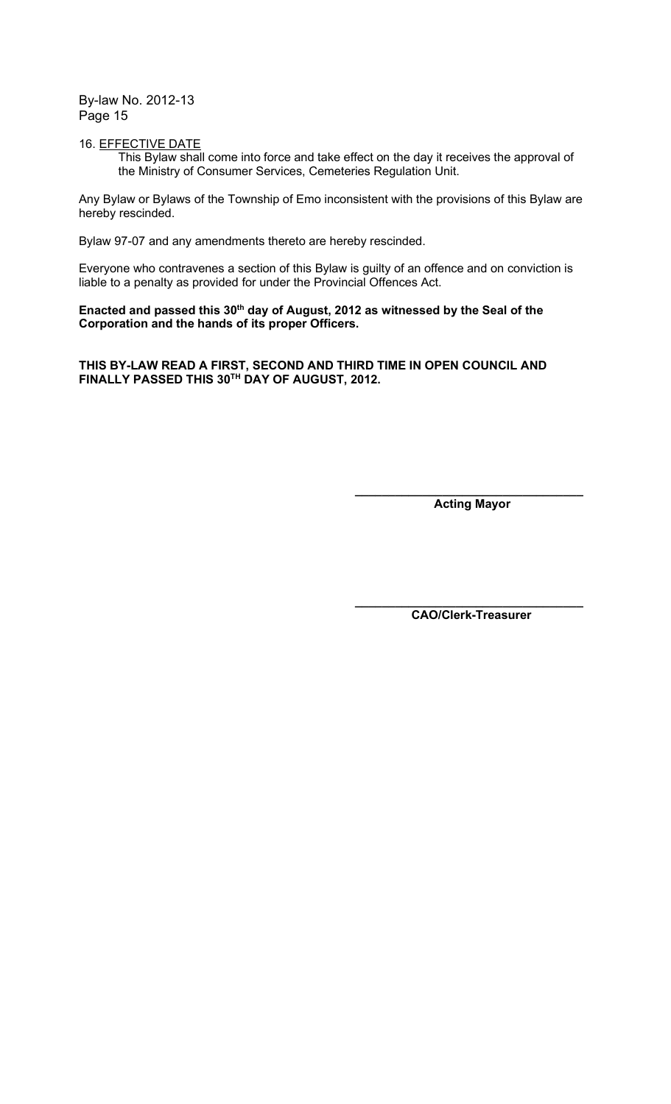#### 16. EFFECTIVE DATE

This Bylaw shall come into force and take effect on the day it receives the approval of the Ministry of Consumer Services, Cemeteries Regulation Unit.

Any Bylaw or Bylaws of the Township of Emo inconsistent with the provisions of this Bylaw are hereby rescinded.

Bylaw 97-07 and any amendments thereto are hereby rescinded.

Everyone who contravenes a section of this Bylaw is guilty of an offence and on conviction is liable to a penalty as provided for under the Provincial Offences Act.

Enacted and passed this 30<sup>th</sup> day of August, 2012 as witnessed by the Seal of the Corporation and the hands of its proper Officers.

THIS BY-LAW READ A FIRST, SECOND AND THIRD TIME IN OPEN COUNCIL AND FINALLY PASSED THIS 30TH DAY OF AUGUST, 2012.

 $\frac{1}{\sqrt{2}}$  ,  $\frac{1}{\sqrt{2}}$  ,  $\frac{1}{\sqrt{2}}$  ,  $\frac{1}{\sqrt{2}}$  ,  $\frac{1}{\sqrt{2}}$  ,  $\frac{1}{\sqrt{2}}$  ,  $\frac{1}{\sqrt{2}}$  ,  $\frac{1}{\sqrt{2}}$  ,  $\frac{1}{\sqrt{2}}$  ,  $\frac{1}{\sqrt{2}}$  ,  $\frac{1}{\sqrt{2}}$  ,  $\frac{1}{\sqrt{2}}$  ,  $\frac{1}{\sqrt{2}}$  ,  $\frac{1}{\sqrt{2}}$  ,  $\frac{1}{\sqrt{2}}$ 

 $\frac{1}{\sqrt{2}}$  ,  $\frac{1}{\sqrt{2}}$  ,  $\frac{1}{\sqrt{2}}$  ,  $\frac{1}{\sqrt{2}}$  ,  $\frac{1}{\sqrt{2}}$  ,  $\frac{1}{\sqrt{2}}$  ,  $\frac{1}{\sqrt{2}}$  ,  $\frac{1}{\sqrt{2}}$  ,  $\frac{1}{\sqrt{2}}$  ,  $\frac{1}{\sqrt{2}}$  ,  $\frac{1}{\sqrt{2}}$  ,  $\frac{1}{\sqrt{2}}$  ,  $\frac{1}{\sqrt{2}}$  ,  $\frac{1}{\sqrt{2}}$  ,  $\frac{1}{\sqrt{2}}$ 

Acting Mayor

CAO/Clerk-Treasurer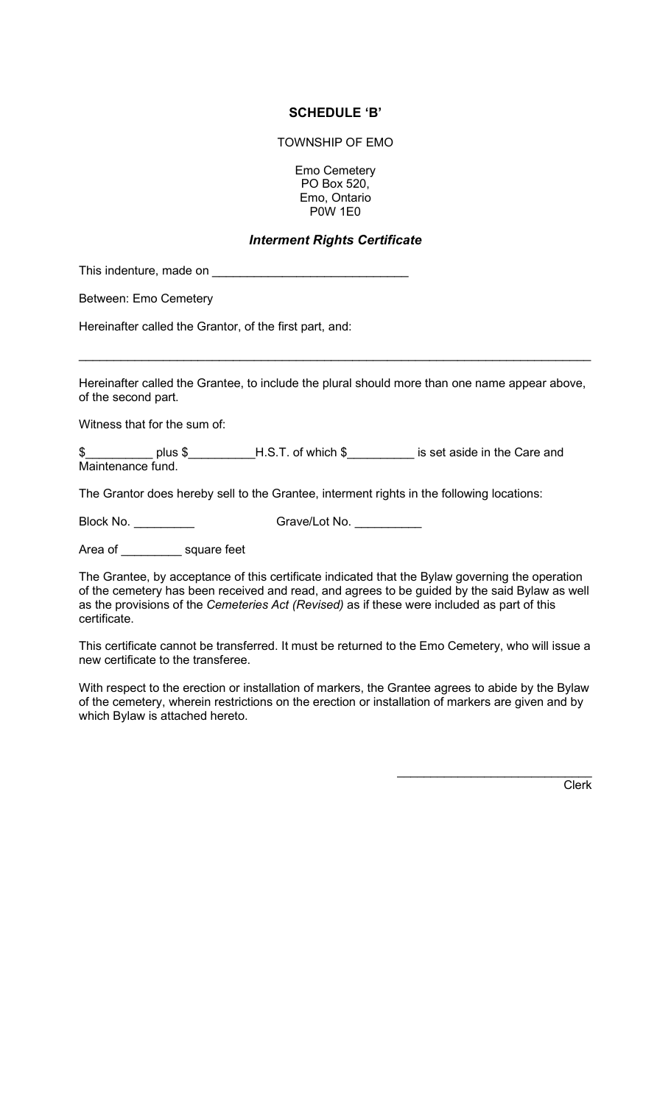### SCHEDULE 'B'

TOWNSHIP OF EMO

Emo Cemetery PO Box 520, Emo, Ontario P0W 1E0

# Interment Rights Certificate

This indenture, made on \_\_\_\_\_\_\_

Between: Emo Cemetery

Hereinafter called the Grantor, of the first part, and:

Hereinafter called the Grantee, to include the plural should more than one name appear above, of the second part.

 $\mathcal{L}_\text{max}$  , and the contract of the contract of the contract of the contract of the contract of the contract of the contract of the contract of the contract of the contract of the contract of the contract of the contr

Witness that for the sum of:

\$\_\_\_\_\_\_\_\_\_\_\_\_ plus \$\_\_\_\_\_\_\_\_\_\_H.S.T. of which \$\_\_\_\_\_\_\_\_\_\_\_\_ is set aside in the Care and Maintenance fund.

The Grantor does hereby sell to the Grantee, interment rights in the following locations:

Block No. **Example 3** Grave/Lot No.

Area of \_\_\_\_\_\_\_\_\_\_ square feet

The Grantee, by acceptance of this certificate indicated that the Bylaw governing the operation of the cemetery has been received and read, and agrees to be guided by the said Bylaw as well as the provisions of the Cemeteries Act (Revised) as if these were included as part of this certificate.

This certificate cannot be transferred. It must be returned to the Emo Cemetery, who will issue a new certificate to the transferee.

With respect to the erection or installation of markers, the Grantee agrees to abide by the Bylaw of the cemetery, wherein restrictions on the erection or installation of markers are given and by which Bylaw is attached hereto.

Clerk

 $\mathcal{L}_\text{max}$  , where  $\mathcal{L}_\text{max}$  and  $\mathcal{L}_\text{max}$  and  $\mathcal{L}_\text{max}$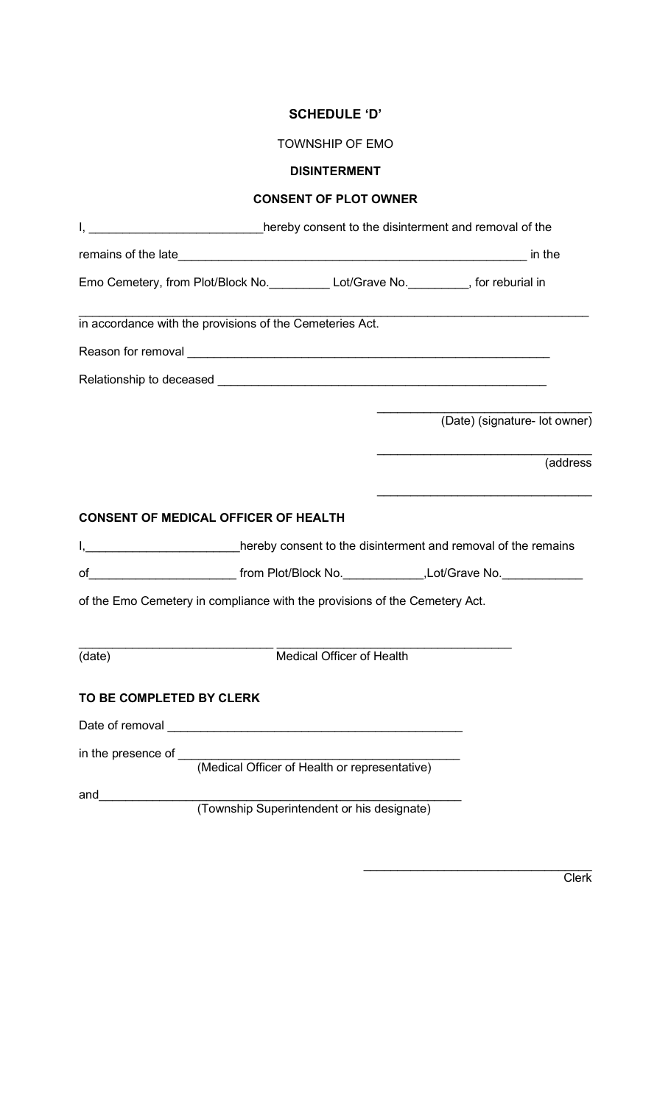# SCHEDULE 'D'

# DISINTERMENT

# CONSENT OF PLOT OWNER

|                          | I, ___________________________hereby consent to the disinterment and removal of the                                                                      |                               |
|--------------------------|----------------------------------------------------------------------------------------------------------------------------------------------------------|-------------------------------|
|                          |                                                                                                                                                          | in the                        |
|                          | Emo Cemetery, from Plot/Block No. __________ Lot/Grave No. ________, for reburial in                                                                     |                               |
|                          | in accordance with the provisions of the Cemeteries Act.                                                                                                 |                               |
|                          |                                                                                                                                                          |                               |
|                          |                                                                                                                                                          |                               |
|                          |                                                                                                                                                          | (Date) (signature- lot owner) |
|                          |                                                                                                                                                          | (address                      |
|                          | <b>CONSENT OF MEDICAL OFFICER OF HEALTH</b><br>I, 1. All the remains intered by consent to the disinterment and removal of the remains                   |                               |
|                          | of________________________________from Plot/Block No._______________,Lot/Grave No.________________                                                       |                               |
|                          | of the Emo Cemetery in compliance with the provisions of the Cemetery Act.                                                                               |                               |
| (date)                   | <u> 1980 - Johann Barbara, martxa alemaniar amerikan basar da da a shekara a shekara a shekara a shekara a sheka</u><br><b>Medical Officer of Health</b> |                               |
| TO BE COMPLETED BY CLERK |                                                                                                                                                          |                               |
| Date of removal          |                                                                                                                                                          |                               |
| in the presence of ___   | (Medical Officer of Health or representative)                                                                                                            |                               |
| and                      | (Township Superintendent or his designate)                                                                                                               |                               |

**Clerk** 

 $\mathcal{L}_\text{max}$  , where  $\mathcal{L}_\text{max}$  is the set of the set of the set of the set of the set of the set of the set of the set of the set of the set of the set of the set of the set of the set of the set of the set of the se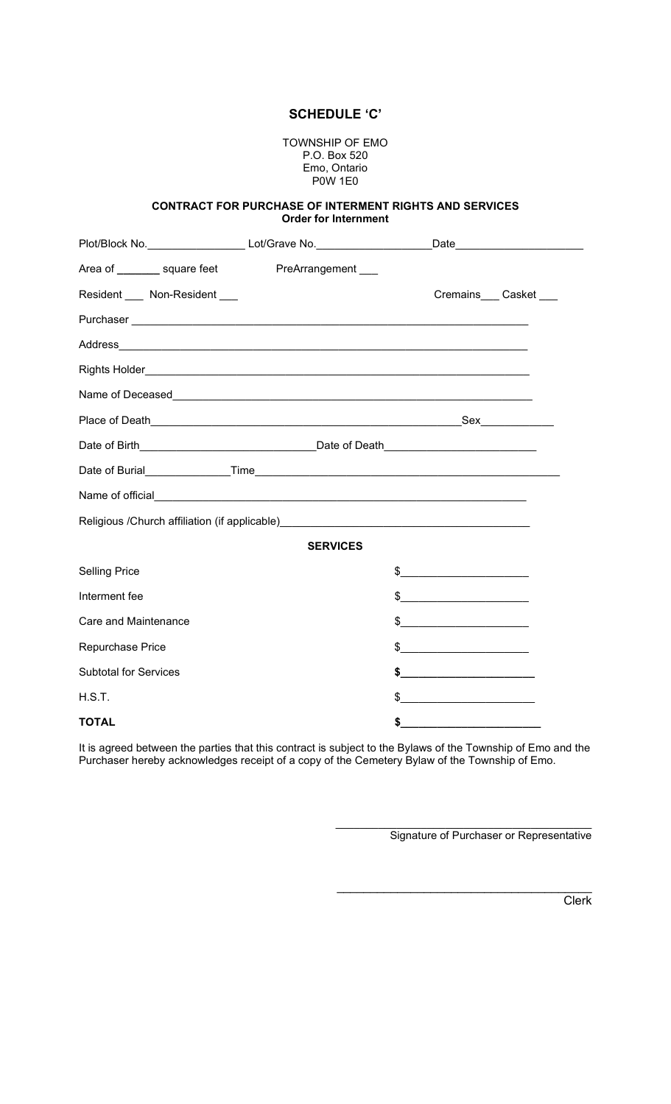#### SCHEDULE 'C'

TOWNSHIP OF EMO P.O. Box 520 Emo, Ontario P0W 1E0

#### CONTRACT FOR PURCHASE OF INTERMENT RIGHTS AND SERVICES Order for Internment

|                                 | Plot/Block No. Lot/Grave No. Lot/Grave No.                                       | _Date__________________________ |
|---------------------------------|----------------------------------------------------------------------------------|---------------------------------|
|                                 | Area of _________ square feet PreArrangement ___                                 |                                 |
| Resident ____ Non-Resident ____ |                                                                                  | Cremains___ Casket ___          |
|                                 |                                                                                  |                                 |
|                                 |                                                                                  |                                 |
|                                 |                                                                                  |                                 |
|                                 |                                                                                  |                                 |
|                                 |                                                                                  |                                 |
|                                 |                                                                                  |                                 |
|                                 |                                                                                  |                                 |
|                                 |                                                                                  |                                 |
|                                 | Religious /Church affiliation (if applicable)___________________________________ |                                 |
|                                 | <b>SERVICES</b>                                                                  |                                 |
| <b>Selling Price</b>            |                                                                                  | $\frac{1}{2}$                   |
| Interment fee                   |                                                                                  | $\frac{1}{2}$                   |
| Care and Maintenance            |                                                                                  | $\frac{1}{2}$                   |
| Repurchase Price                |                                                                                  | $\frac{1}{2}$                   |
| <b>Subtotal for Services</b>    |                                                                                  | $\frac{1}{2}$                   |
| H.S.T.                          |                                                                                  | $\frac{1}{2}$                   |
| <b>TOTAL</b>                    |                                                                                  | \$                              |

It is agreed between the parties that this contract is subject to the Bylaws of the Township of Emo and the Purchaser hereby acknowledges receipt of a copy of the Cemetery Bylaw of the Township of Emo.

Signature of Purchaser or Representative

 $\overline{\phantom{a}}$  , where  $\overline{\phantom{a}}$  , where  $\overline{\phantom{a}}$  , where  $\overline{\phantom{a}}$  , where  $\overline{\phantom{a}}$ 

Clerk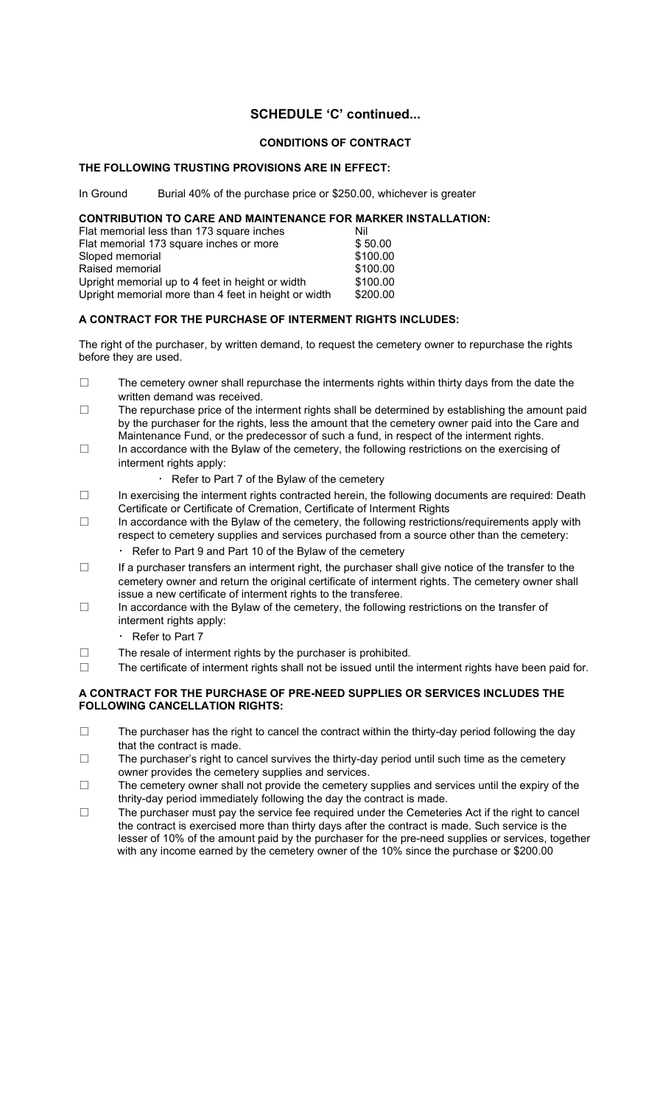# SCHEDULE 'C' continued...

### CONDITIONS OF CONTRACT

#### THE FOLLOWING TRUSTING PROVISIONS ARE IN EFFECT:

In Ground Burial 40% of the purchase price or \$250.00, whichever is greater

### CONTRIBUTION TO CARE AND MAINTENANCE FOR MARKER INSTALLATION:

| Flat memorial less than 173 square inches            | Nil      |
|------------------------------------------------------|----------|
| Flat memorial 173 square inches or more              | \$50.00  |
| Sloped memorial                                      | \$100.00 |
| Raised memorial                                      | \$100.00 |
| Upright memorial up to 4 feet in height or width     | \$100.00 |
| Upright memorial more than 4 feet in height or width | \$200.00 |

### A CONTRACT FOR THE PURCHASE OF INTERMENT RIGHTS INCLUDES:

The right of the purchaser, by written demand, to request the cemetery owner to repurchase the rights before they are used.

- $\square$  The cemetery owner shall repurchase the interments rights within thirty days from the date the written demand was received.
- □ The repurchase price of the interment rights shall be determined by establishing the amount paid by the purchaser for the rights, less the amount that the cemetery owner paid into the Care and Maintenance Fund, or the predecessor of such a fund, in respect of the interment rights.
- □ In accordance with the Bylaw of the cemetery, the following restrictions on the exercising of interment rights apply:
	- Refer to Part 7 of the Bylaw of the cemetery
- □ In exercising the interment rights contracted herein, the following documents are required: Death Certificate or Certificate of Cremation, Certificate of Interment Rights
- □ In accordance with the Bylaw of the cemetery, the following restrictions/requirements apply with respect to cemetery supplies and services purchased from a source other than the cemetery:
	- $\cdot$  Refer to Part 9 and Part 10 of the Bylaw of the cemetery
- □ If a purchaser transfers an interment right, the purchaser shall give notice of the transfer to the cemetery owner and return the original certificate of interment rights. The cemetery owner shall issue a new certificate of interment rights to the transferee.
- $\square$  In accordance with the Bylaw of the cemetery, the following restrictions on the transfer of interment rights apply:
	- $\cdot$  Refer to Part 7
- □ The resale of interment rights by the purchaser is prohibited.
- $\square$  The certificate of interment rights shall not be issued until the interment rights have been paid for.

#### A CONTRACT FOR THE PURCHASE OF PRE-NEED SUPPLIES OR SERVICES INCLUDES THE FOLLOWING CANCELLATION RIGHTS:

- □ The purchaser has the right to cancel the contract within the thirty-day period following the day that the contract is made.
- $\square$  The purchaser's right to cancel survives the thirty-day period until such time as the cemetery owner provides the cemetery supplies and services.
- □ The cemetery owner shall not provide the cemetery supplies and services until the expiry of the thrity-day period immediately following the day the contract is made.
- □ The purchaser must pay the service fee required under the Cemeteries Act if the right to cancel the contract is exercised more than thirty days after the contract is made. Such service is the lesser of 10% of the amount paid by the purchaser for the pre-need supplies or services, together with any income earned by the cemetery owner of the 10% since the purchase or \$200.00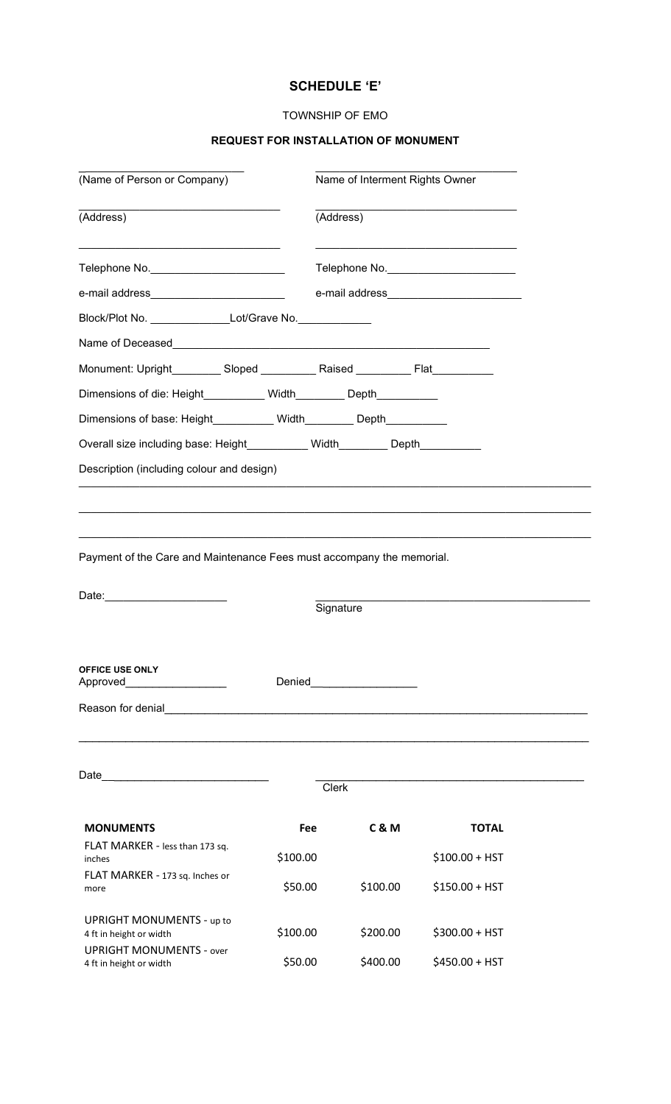# SCHEDULE 'E'

### TOWNSHIP OF EMO

# REQUEST FOR INSTALLATION OF MONUMENT

\_\_\_\_\_\_\_\_\_\_\_\_\_\_\_\_\_\_\_\_\_\_\_\_\_\_\_ \_\_\_\_\_\_\_\_\_\_\_\_\_\_\_\_\_\_\_\_\_\_\_\_\_\_\_\_\_\_\_\_\_

| (Name of Person or Company)                                                         |            | Name of Interment Rights Owner                     |                |                 |  |
|-------------------------------------------------------------------------------------|------------|----------------------------------------------------|----------------|-----------------|--|
| (Address)<br>Telephone No._________________________                                 |            | (Address)<br>Telephone No. _______________________ |                |                 |  |
|                                                                                     |            |                                                    |                |                 |  |
|                                                                                     |            |                                                    |                |                 |  |
| Block/Plot No. _____________________Lot/Grave No.______________                     |            |                                                    |                |                 |  |
|                                                                                     |            |                                                    |                |                 |  |
| Monument: Upright_________ Sloped __________ Raised _________ Flat__________        |            |                                                    |                |                 |  |
| Dimensions of die: Height__________ Width________ Depth__________                   |            |                                                    |                |                 |  |
| Dimensions of base: Height___________ Width________ Depth_________                  |            |                                                    |                |                 |  |
| Overall size including base: Height__________ Width________ Depth__________         |            |                                                    |                |                 |  |
| Description (including colour and design)                                           |            |                                                    |                |                 |  |
|                                                                                     |            |                                                    |                |                 |  |
| Payment of the Care and Maintenance Fees must accompany the memorial.<br>Date: 2008 |            | Signature                                          |                |                 |  |
| OFFICE USE ONLY<br>Approved                                                         | Denied     |                                                    |                |                 |  |
| Reason for denial                                                                   |            |                                                    |                |                 |  |
| Date__ ___________________________                                                  |            |                                                    |                |                 |  |
|                                                                                     |            | <b>Clerk</b>                                       |                |                 |  |
| <b>MONUMENTS</b>                                                                    | <b>Fee</b> |                                                    | <b>C&amp;M</b> | <b>TOTAL</b>    |  |
| FLAT MARKER - less than 173 sq.<br>inches                                           | \$100.00   |                                                    |                | $$100.00 + HST$ |  |
| FLAT MARKER - 173 sq. Inches or<br>more                                             | \$50.00    |                                                    | \$100.00       | $$150.00 + HST$ |  |
| <b>UPRIGHT MONUMENTS - up to</b><br>4 ft in height or width                         | \$100.00   |                                                    | \$200.00       | \$300.00 + HST  |  |
| <b>UPRIGHT MONUMENTS - over</b><br>4 ft in height or width                          | \$50.00    |                                                    | \$400.00       | \$450.00 + HST  |  |